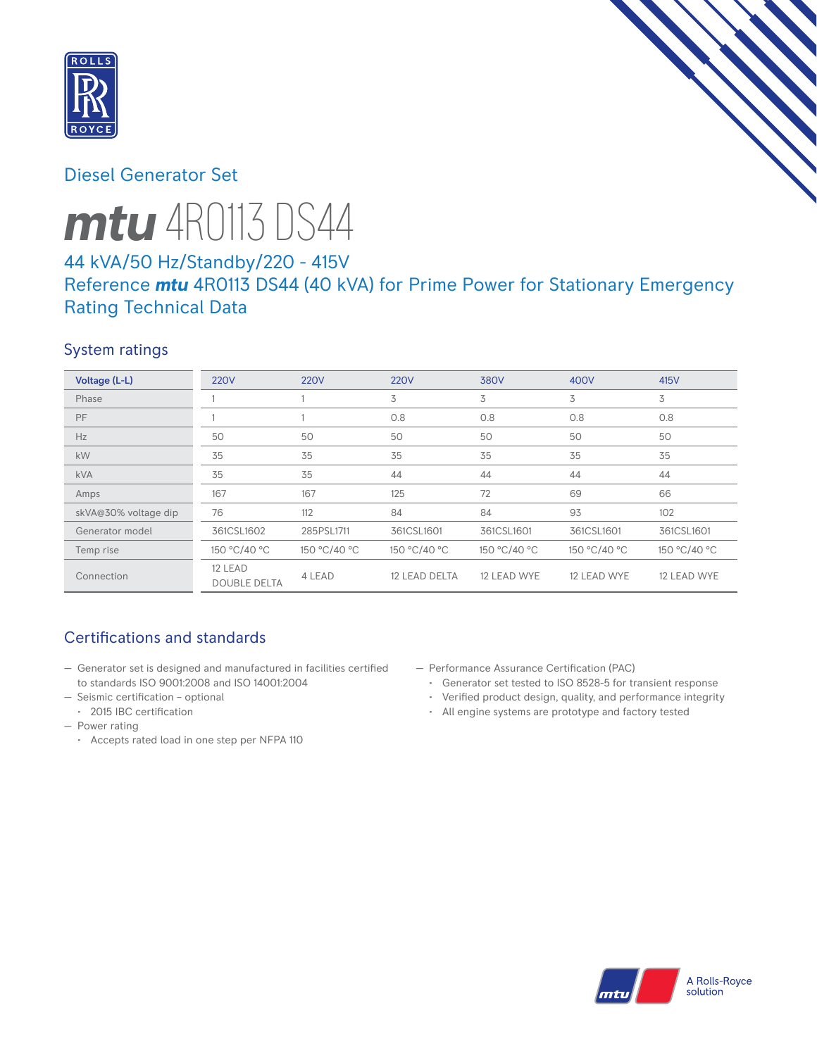

# Diesel Generator Set



# 44 kVA/50 Hz/Standby/220 - 415V Reference *mtu* 4R0113 DS44 (40 kVA) for Prime Power for Stationary Emergency Rating Technical Data

## System ratings

| Voltage (L-L)        | <b>220V</b>                    | <b>220V</b>  | <b>220V</b>   | 380V         | 400V         | 415V         |
|----------------------|--------------------------------|--------------|---------------|--------------|--------------|--------------|
| Phase                |                                |              | 3             | 3            | 3            | 3            |
| PF                   |                                |              | 0.8           | 0.8          | 0.8          | 0.8          |
| Hz                   | 50                             | 50           | 50            | 50           | 50           | 50           |
| kW                   | 35                             | 35           | 35            | 35           | 35           | 35           |
| <b>kVA</b>           | 35                             | 35           | 44            | 44           | 44           | 44           |
| Amps                 | 167                            | 167          | 125           | 72           | 69           | 66           |
| skVA@30% voltage dip | 76                             | 112          | 84            | 84           | 93           | 102          |
| Generator model      | 361CSL1602                     | 285PSL1711   | 361CSL1601    | 361CSL1601   | 361CSL1601   | 361CSL1601   |
| Temp rise            | 150 °C/40 °C                   | 150 °C/40 °C | 150 °C/40 °C  | 150 °C/40 °C | 150 °C/40 °C | 150 °C/40 °C |
| Connection           | 12 LEAD<br><b>DOUBLE DELTA</b> | 4 LEAD       | 12 LEAD DELTA | 12 LEAD WYE  | 12 LEAD WYE  | 12 LEAD WYE  |

## Certifications and standards

- Generator set is designed and manufactured in facilities certified to standards ISO 9001:2008 and ISO 14001:2004
- Seismic certification optional
	- 2015 IBC certification
- Power rating
	- Accepts rated load in one step per NFPA 110
- Performance Assurance Certification (PAC)
	- Generator set tested to ISO 8528-5 for transient response
	- Verified product design, quality, and performance integrity
	- All engine systems are prototype and factory tested

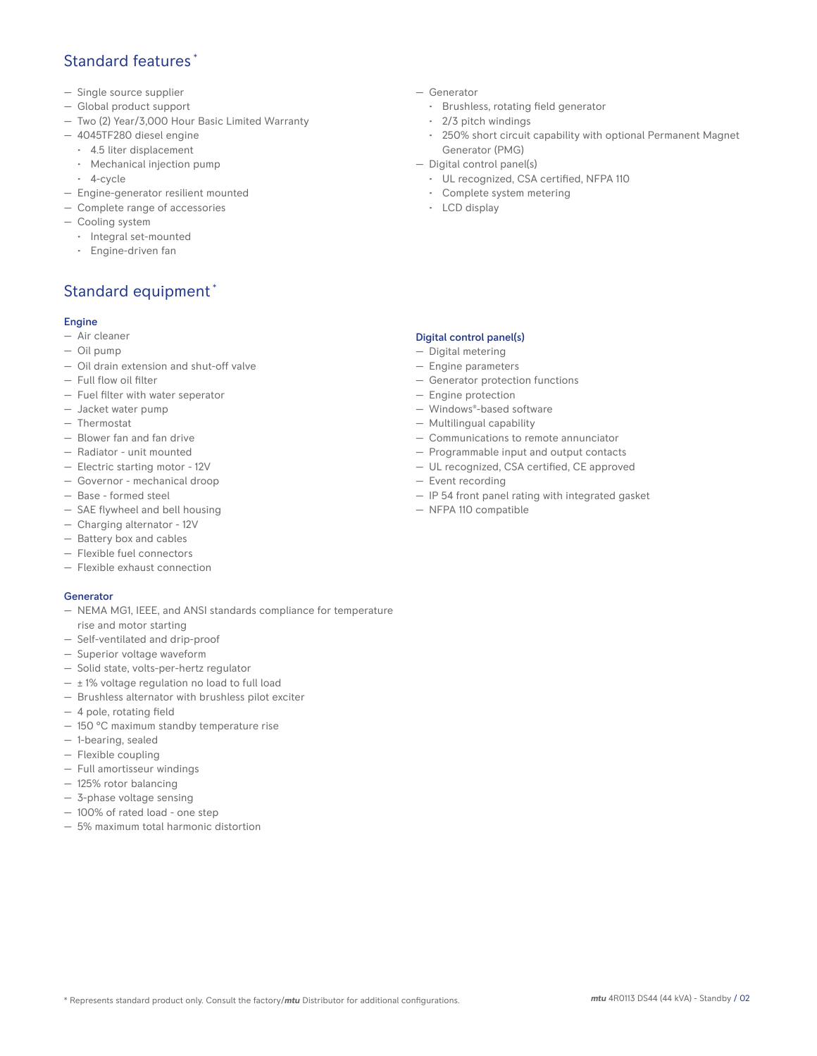## Standard features \*

- Single source supplier
- Global product support
- Two (2) Year/3,000 Hour Basic Limited Warranty
- 4045TF280 diesel engine
	- 4.5 liter displacement
	- Mechanical injection pump
	- 4-cycle
- Engine-generator resilient mounted
- Complete range of accessories
- Cooling system
- Integral set-mounted
	- Engine-driven fan

## Standard equipment \*

### Engine

- Air cleaner
- Oil pump
- Oil drain extension and shut-off valve
- Full flow oil filter
- Fuel filter with water seperator
- Jacket water pump
- Thermostat
- Blower fan and fan drive
- Radiator unit mounted
- Electric starting motor 12V
- Governor mechanical droop
- Base formed steel
- SAE flywheel and bell housing
- Charging alternator 12V
- Battery box and cables
- Flexible fuel connectors
- Flexible exhaust connection

#### Generator

- NEMA MG1, IEEE, and ANSI standards compliance for temperature rise and motor starting
- Self-ventilated and drip-proof
- Superior voltage waveform
- Solid state, volts-per-hertz regulator
- $\pm$  1% voltage regulation no load to full load
- Brushless alternator with brushless pilot exciter
- 4 pole, rotating field
- 150 °C maximum standby temperature rise
- 1-bearing, sealed
- Flexible coupling
- Full amortisseur windings
- 125% rotor balancing
- 3-phase voltage sensing
- 100% of rated load one step
- 5% maximum total harmonic distortion
- Generator
	- Brushless, rotating field generator
	- 2/3 pitch windings
	- 250% short circuit capability with optional Permanent Magnet Generator (PMG)
- Digital control panel(s)
	- UL recognized, CSA certified, NFPA 110
	- Complete system metering
	- LCD display

### Digital control panel(s)

- Digital metering
- Engine parameters
- Generator protection functions
- Engine protection
- Windows®-based software
- Multilingual capability
- Communications to remote annunciator
- Programmable input and output contacts
- UL recognized, CSA certified, CE approved
- Event recording
- IP 54 front panel rating with integrated gasket
- NFPA 110 compatible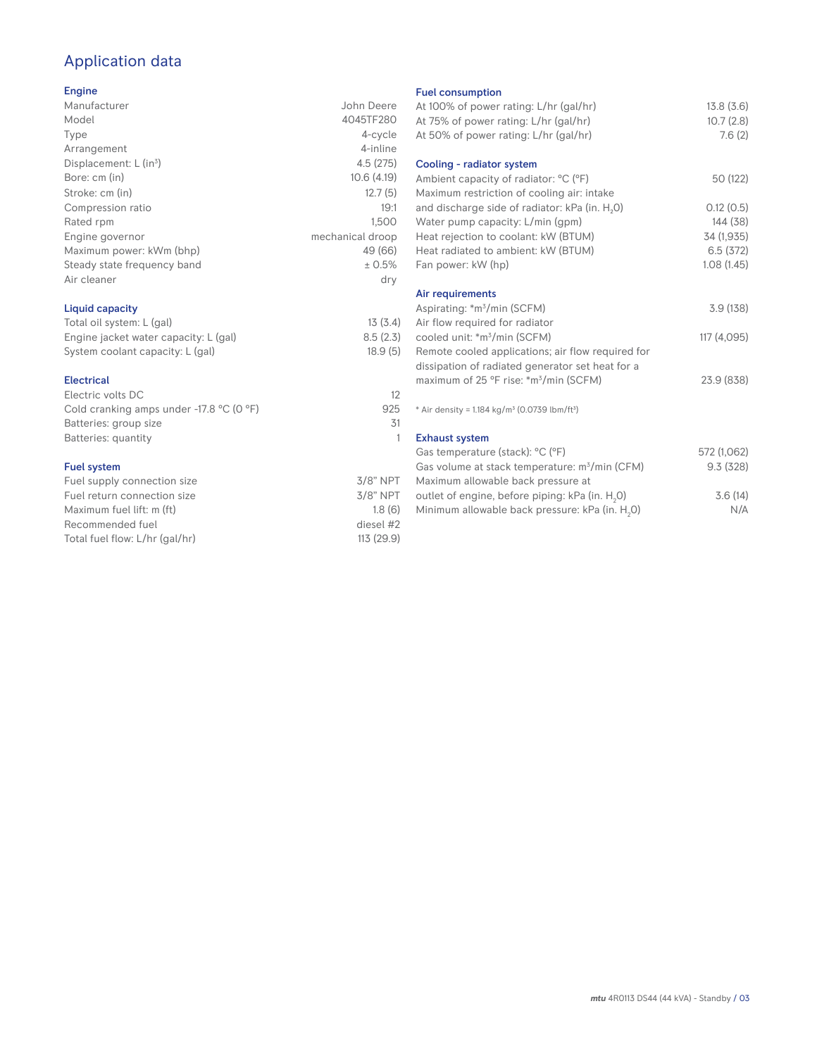# Application data

### Engine

| ------                      |                  |
|-----------------------------|------------------|
| Manufacturer                | John Deere       |
| Model                       | 4045TF280        |
| Type                        | 4-cycle          |
| Arrangement                 | 4-inline         |
| Displacement: $L (in3)$     | 4.5(275)         |
| Bore: cm (in)               | 10.6(4.19)       |
| Stroke: cm (in)             | 12.7(5)          |
| Compression ratio           | 19:1             |
| Rated rpm                   | 1.500            |
| Engine governor             | mechanical droop |
| Maximum power: kWm (bhp)    | 49 (66)          |
| Steady state frequency band | ± 0.5%           |
| Air cleaner                 | dry              |
|                             |                  |

### Liquid capacity

| Total oil system: L (gal)             | 13(3.4)  |
|---------------------------------------|----------|
| Engine jacket water capacity: L (gal) | 8.5(2.3) |
| System coolant capacity: L (gal)      | 18.9(5)  |

#### Electrical

| Electric volts DC                                            | 12  |
|--------------------------------------------------------------|-----|
| Cold cranking amps under -17.8 $^{\circ}$ C (O $^{\circ}$ F) | 925 |
| Batteries: group size                                        | .31 |
| Batteries: quantity                                          |     |
|                                                              |     |

### Fuel system

| $3/8$ " NPT |
|-------------|
| $3/8$ " NPT |
| 1.8(6)      |
| diesel #2   |
| 113 (29.9)  |
|             |

#### Fuel consumption

| ו טטו טטווטטווואַנוטוו<br>At 100% of power rating: L/hr (gal/hr)<br>At 75% of power rating: L/hr (gal/hr)<br>At 50% of power rating: L/hr (gal/hr) | 13.8(3.6)<br>10.7(2.8)<br>7.6(2) |
|----------------------------------------------------------------------------------------------------------------------------------------------------|----------------------------------|
| Cooling - radiator system                                                                                                                          |                                  |
| Ambient capacity of radiator: °C (°F)<br>Maximum restriction of cooling air: intake                                                                | 50 (122)                         |
| and discharge side of radiator: kPa (in. H <sub>2</sub> O)                                                                                         | 0.12(0.5)                        |
| Water pump capacity: L/min (gpm)                                                                                                                   | 144 (38)                         |
| Heat rejection to coolant: kW (BTUM)                                                                                                               | 34 (1,935)                       |
| Heat radiated to ambient: kW (BTUM)                                                                                                                | 6.5(372)                         |
| Fan power: kW (hp)                                                                                                                                 | 1.08(1.45)                       |
| Air requirements                                                                                                                                   |                                  |
| Aspirating: *m <sup>3</sup> /min (SCFM)                                                                                                            | 3.9(138)                         |
| Air flow required for radiator                                                                                                                     |                                  |
| cooled unit: *m <sup>3</sup> /min (SCFM)                                                                                                           | 117 (4,095)                      |
| Remote cooled applications; air flow required for<br>dissipation of radiated generator set heat for a                                              |                                  |
| maximum of 25 °F rise: *m <sup>3</sup> /min (SCFM)                                                                                                 | 23.9 (838)                       |
|                                                                                                                                                    |                                  |
| * Air density = $1.184 \text{ kg/m}^3$ (0.0739 lbm/ft <sup>3</sup> )                                                                               |                                  |
| <b>Exhaust system</b>                                                                                                                              |                                  |
| Gas temperature (stack): °C (°F)                                                                                                                   | 572 (1,062)                      |
| Gas volume at stack temperature: m <sup>3</sup> /min (CFM)<br>Maximum allowable back pressure at                                                   | 9.3(328)                         |
| outlet of engine, before piping: kPa (in. H <sub>2</sub> 0)                                                                                        | 3.6(14)                          |
| Minimum allowable back pressure: kPa (in. H <sub>2</sub> 0)                                                                                        | N/A                              |
|                                                                                                                                                    |                                  |